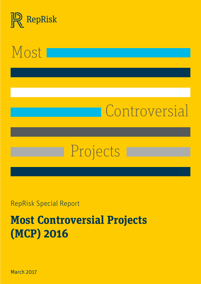



# Controversial

# Projects

RepRisk Special Report

# **Most Controversial Projects (MCP) 2016**

March 2017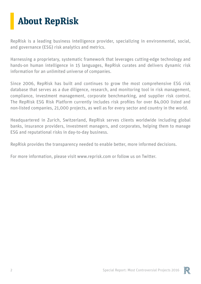## <span id="page-1-0"></span>**About RepRisk**

RepRisk is a leading business intelligence provider, specializing in environmental, social, and governance (ESG) risk analytics and metrics.

Harnessing a proprietary, systematic framework that leverages cutting-edge technology and hands-on human intelligence in 15 languages, RepRisk curates and delivers dynamic risk information for an unlimited universe of companies.

Since 2006, RepRisk has built and continues to grow the most comprehensive ESG risk database that serves as a due diligence, research, and monitoring tool in risk management, compliance, investment management, corporate benchmarking, and supplier risk control. The RepRisk ESG Risk Platform currently includes risk profiles for over 84,000 listed and non-listed companies, 21,000 projects, as well as for every sector and country in the world.

Headquartered in Zurich, Switzerland, RepRisk serves clients worldwide including global banks, insurance providers, investment managers, and corporates, helping them to manage ESG and reputational risks in day-to-day business.

RepRisk provides the transparency needed to enable better, more informed decisions.

For more information, please visit www.reprisk.com or follow us on Twitter.

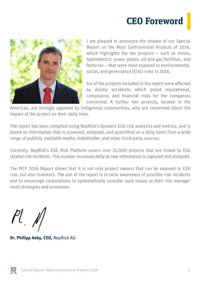### **CEO Foreword**

<span id="page-2-0"></span>

I am pleased to announce the release of our Special Report on the Most Controversial Projects of 2016, which highlights the ten projects – such as mines, hydroelectric power plants, oil and gas facilities, and factories – that were most exposed to environmental, social, and governance (ESG) risks in 2016.

Six of the projects included in the report were affected by deadly accidents, which posed reputational, compliance, and financial risks for the companies concerned. A further two projects, located in the

Americas, are strongly opposed by indigenous communities, who are concerned about the impact of the project on their daily lives.

The report has been compiled using RepRisk's dynamic ESG risk analytics and metrics, and is based on information that is screened, analyzed, and quantified on a daily basis from a wide range of publicly available media, stakeholder, and other third-party sources.

Currently, RepRisk's ESG Risk Platform covers over 21,000 projects that are linked to ESG related risk incidents. This number increases daily as new information is captured and analyzed.

The MCP 2016 Report shows that it is not only project owners that can be exposed to ESG risk, but also investors. The aim of the report is to raise awareness of possible risk incidents and to encourage corporations to systematically consider such issues in their risk management strategies and processes.

 $Pl_+$   $M_+$ 

**Dr. Philipp Aeby, CEO,** RepRisk AG

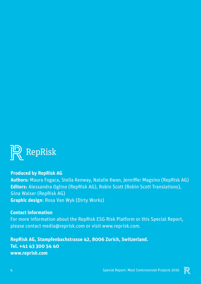

#### **Produced by RepRisk AG**

**Authors:** Maura Fogaca, Stella Kenway, Natalie Kwan, Jenniffer Magsino (RepRisk AG) **Editors:** Alessandra Oglino (RepRisk AG), Robin Scott (Robin Scott Translations), Gina Walser (RepRisk AG) **Graphic design**: Rosa Van Wyk (Dirty Works)

#### **Contact information**

For more information about the RepRisk ESG Risk Platform or this Special Report, please contact media@reprisk.com or visit www.reprisk.com.

**RepRisk AG, Stampfenbachstrasse 42, 8006 Zurich, Switzerland. Tel. +41 43 300 54 40 www.reprisk.com**

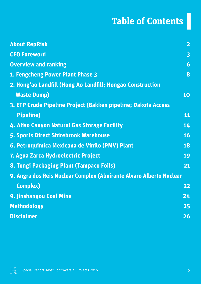# **Table of Contents**

| <b>About RepRisk</b>                                                | $\overline{2}$          |
|---------------------------------------------------------------------|-------------------------|
| <b>CEO Foreword</b>                                                 | $\overline{\mathbf{3}}$ |
| <b>Overview and ranking</b>                                         | 6                       |
| 1. Fengcheng Power Plant Phase 3                                    | 8                       |
| 2. Hong'ao Landfill (Hong Ao Landfill; Hongao Construction          |                         |
| <b>Waste Dump)</b>                                                  | 10                      |
| 3. ETP Crude Pipeline Project (Bakken pipeline; Dakota Access       |                         |
| <b>Pipeline)</b>                                                    | 11                      |
| 4. Aliso Canyon Natural Gas Storage Facility                        | 14                      |
| <b>5. Sports Direct Shirebrook Warehouse</b>                        | <b>16</b>               |
| 6. Petroquimica Mexicana de Vinilo (PMV) Plant                      | 18                      |
| 7. Agua Zarca Hydroelectric Project                                 | 19                      |
| <b>8. Tongi Packaging Plant (Tampaco Foils)</b>                     | 21                      |
| 9. Angra dos Reis Nuclear Complex (Almirante Alvaro Alberto Nuclear |                         |
| <b>Complex)</b>                                                     | 22                      |
| 9. Jinshangou Coal Mine                                             | 24                      |
| <b>Methodology</b>                                                  | 25                      |
| <b>Disclaimer</b>                                                   | $\overline{26}$         |

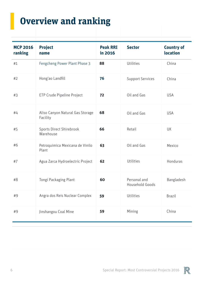# **Overview and ranking**

| <b>MCP 2016</b><br>ranking | <b>Project</b><br>name                       | <b>Peak RRI</b><br>in 2016 | <b>Sector</b>                   | <b>Country of</b><br>location |
|----------------------------|----------------------------------------------|----------------------------|---------------------------------|-------------------------------|
| #1                         | Fengcheng Power Plant Phase 3                | 88                         | Utilities                       | China                         |
| #2                         | Hong'ao Landfill                             | 76                         | <b>Support Services</b>         | China                         |
| #3                         | ETP Crude Pipeline Project                   | 72                         | Oil and Gas                     | <b>USA</b>                    |
| #4                         | Aliso Canyon Natural Gas Storage<br>Facility | 68                         | Oil and Gas                     | <b>USA</b>                    |
| #5                         | Sports Direct Shirebrook<br>Warehouse        | 66                         | Retail                          | UK                            |
| #6                         | Petroquimica Mexicana de Vinilo<br>Plant     | 63                         | Oil and Gas                     | Mexico                        |
| #7                         | Agua Zarca Hydroelectric Project             | 62                         | Utilities                       | Honduras                      |
| #8                         | Tongi Packaging Plant                        | 60                         | Personal and<br>Household Goods | Bangladesh                    |
| #9                         | Angra dos Reis Nuclear Complex               | 59                         | Utilities                       | <b>Brazil</b>                 |
| #9                         | Jinshangou Coal Mine                         | 59                         | Mining                          | China                         |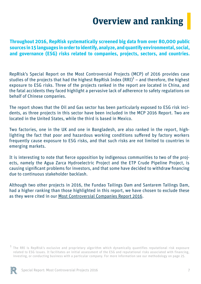### **Overview and ranking**

**Throughout 2016, RepRisk systematically screened big data from over 80,000 public sources in 15 languages in order to identify, analyze, and quantify environmental, social, and governance (ESG) risks related to companies, projects, sectors, and countries.** 

RepRisk's Special Report on the Most Controversial Projects (MCP) of 2016 provides case studies of the projects that had the highest RepRisk Index  $(RRI)^1$  – and therefore, the highest exposure to ESG risks. Three of the projects ranked in the report are located in China, and the fatal accidents they faced highlight a pervasive lack of adherence to safety regulations on behalf of Chinese companies.

The report shows that the Oil and Gas sector has been particularly exposed to ESG risk incidents, as three projects in this sector have been included in the MCP 2016 Report. Two are located in the United States, while the third is based in Mexico.

Two factories, one in the UK and one in Bangladesh, are also ranked in the report, highlighting the fact that poor and hazardous working conditions suffered by factory workers frequently cause exposure to ESG risks, and that such risks are not limited to countries in emerging markets.

It is interesting to note that fierce opposition by indigenous communities to two of the projects, namely the Agua Zarca Hydroelectric Project and the ETP Crude Pipeline Project, is causing significant problems for investors, and that some have decided to withdraw financing due to continuous stakeholder backlash.

Although two other projects in 2016, the Fundao Tailings Dam and Santarem Tailings Dam, had a higher ranking than those highlighted in this report, we have chosen to exclude these as they were cited in our [Most Controversial Companies Report 2016.](https://www.reprisk.com/content/5-publications/1-special-reports/46-most-controversial-companies-of-2016/mcc-2016.pdf)

The RRI is RepRisk's exclusive and proprietary algorithm which dynamically quantifies reputational risk exposure related to ESG issues. It facilitates an initial assessment of the ESG and reputational risks associated with financing, investing, or conducting business with a particular company. For more information see our methodology on page 25. 1

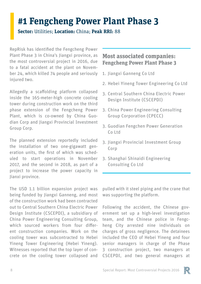### **#1 Fengcheng Power Plant Phase 3**

**Sector:** Utilities; **Location:** China; **Peak RRI:** 88

RepRisk has identified the Fengcheng Power Plant Phase 3 in China's Jiangxi province, as the most controversial project in 2016, due to a fatal accident at the plant on November 24, which killed 74 people and seriously injured two.

Allegedly a scaffolding platform collapsed inside the 165-meter-high concrete cooling tower during construction work on the third phase extension of the Fengcheng Power Plant, which is co-owned by China Guodian Corp and Jiangxi Provincial Investment Group Corp.

The planned extension reportedly included the installation of two one-gigawatt generation units, the first of which was scheduled to start operations in November 2017, and the second in 2018, as part of a project to increase the power capacity in Jianxi province.

The USD 1.1 billion expansion project was being funded by Jiangxi Ganneng, and most of the construction work had been contracted out to Central Southern China Electric Power Design Institute (CSCEPDI), a subsidiary of China Power Engineering Consulting Group, which sourced workers from four different construction companies. Work on the cooling tower was subcontracted to Hebei Yineng Tower Engineering (Hebei Yineng). Witnesses reported that the top layer of concrete on the cooling tower collapsed and

#### **Most associated companies: Fengcheng Power Plant Phase 3**

- 1. Jiangxi Ganneng Co Ltd
- 2. Hebei Yineng Tower Engineering Co Ltd
- 3. Central Southern China Electric Power Design Institute (CSCEPDI)
- 3. China Power Engineering Consulting Group Corporation (CPECC)
- 3. Guodian Fengchen Power Generation Co Ltd
- Jiangxi Provincial Investment Group 3. Corp
- 3. Shanghai Shinaidi Engineering Consulting Co Ltd

pulled with it steel piping and the crane that was supporting the platform.

Following the accident, the Chinese government set up a high-level investigation team, and the Chinese police in Fengcheng City arrested nine individuals on charges of gross negligence. The detainees included the CEO of Hebei Yineng and four senior managers in charge of the Phase 3 construction project, two managers at CSCEPDI, and two general managers at

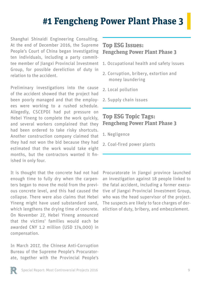### **#1 Fengcheng Power Plant Phase 3**

Shanghai Shinaidi Engineering Consulting. At the end of December 2016, the Supreme People's Court of China began investigating ten individuals, including a party committee member of Jiangxi Provincial Investment Group, for possible dereliction of duty in relation to the accident.

Preliminary investigations into the cause of the accident showed that the project had been poorly managed and that the employees were working to a rushed schedule. Allegedly, CSCEPDI had put pressure on Hebei Yineng to complete the work quickly, and several workers complained that they had been ordered to take risky shortcuts. Another construction company claimed that they had not won the bid because they had estimated that the work would take eight months, but the contractors wanted it finished in only four.

It is thought that the concrete had not had enough time to fully dry when the carpenters began to move the mold from the previous concrete level, and this had caused the collapse. There were also claims that Hebei Yineng might have used substandard sand, which lengthens the drying time of concrete. On November 27, Hebei Yineng announced that the victims' families would each be awarded CNY 1.2 million (USD 174,000) in compensation.

In March 2017, the Chinese Anti-Corruption Bureau of the Supreme People's Procuratorate, together with the Provincial People's

#### **Top ESG Issues: Fengcheng Power Plant Phase 3**

- 1. Occupational health and safety issues
- 2. Corruption, bribery, extortion and money laundering
- 2. Local pollution
- 2. Supply chain issues

#### **Top ESG Topic Tags: Fengcheng Power Plant Phase 3**

- 1. Negligence
- 2. Coal-fired power plants

Procuratorate in Jiangxi province launched an investigation against 18 people linked to the fatal accident, including a former executive of Jiangxi Provincial Investment Group, who was the head supervisor of the project. The suspects are likely to face charges of dereliction of duty, bribery, and embezzlement.

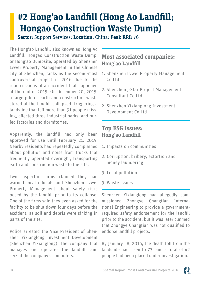### **#2 Hong'ao Landfill (Hong Ao Landfill; Hongao Construction Waste Dump)**

**Sector:** Support Services; **Location:** China; **Peak RRI:** 76

The Hong'ao Landfill, also known as Hong Ao Landfill, Hongao Construction Waste Dump, or Hong'ao Dumpsite, operated by Shenzhen Lvwei Property Management in the Chinese city of Shenzhen, ranks as the second-most controversial project in 2016 due to the repercussions of an accident that happened at the end of 2015. On December 20, 2015, a large pile of earth and construction waste stored at the landfill collapsed, triggering a landslide that left more than 91 people missing, affected three industrial parks, and buried factories and dormitories.

Apparently, the landfill had only been approved for use until February 21, 2015. Nearby residents had repeatedly complained about pollution and noise from trucks that frequently operated overnight, transporting earth and construction waste to the site.

Two inspection firms claimed they had warned local officials and Shenzhen Lvwei Property Management about safety risks posed by the landfill prior to its collapse. One of the firms said they even asked for the facility to be shut down four days before the accident, as soil and debris were sinking in parts of the site.

Police arrested the Vice President of Shenzhen Yixianglong Investment Development (Shenzhen Yixianglong), the company that manages and operates the landfill, and seized the company's computers.

#### **Most associated companies: Hong'ao Landfill**

- 1. Shenzhen Lvwei Property Management Co Ltd
- 2. Shenzhen J-Star Project Management Consultant Co Ltd
- 2. Shenzhen Yixianglong Investment Development Co Ltd

#### **Top ESG Issues: Hong'ao Landfill**

- 1. Impacts on communities
- 2. Corruption, bribery, extortion and money laundering
- 3. Local pollution
- 3. Waste issues

Shenzhen Yixianglong had allegedly commissioned Zhongye Changtian International Engineering to provide a governmentrequired safety endorsement for the landfill prior to the accident, but it was later claimed that Zhongye Changtian was not qualified to endorse landfill projects.

By January 28, 2016, the death toll from the landslide had risen to 73, and a total of 42 people had been placed under investigation.

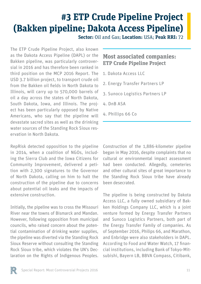### **#3 ETP Crude Pipeline Project (Bakken pipeline; Dakota Access Pipeline)**

**Sector:** Oil and Gas; **Location:** USA; **Peak RRI:** 72

The ETP Crude Pipeline Project, also known as the Dakota Access Pipeline (DAPL) or the Bakken pipeline, was particularly controversial in 2016 and has therefore been ranked in third position on the MCP 2016 Report. The USD 3.7 billion project, to transport crude oil from the Bakken oil fields in North Dakota to Illinois, will carry up to 570,000 barrels of oil a day across the states of North Dakota, South Dakota, Iowa, and Illinois. The project has been particularly opposed by Native Americans, who say that the pipeline will devastate sacred sites as well as the drinking water sources of the Standing Rock Sioux reservation in North Dakota.

RepRisk detected opposition to the pipeline in 2014, when a coalition of NGOs, including the Sierra Club and the Iowa Citizens for Community Improvement, delivered a petition with 2,300 signatures to the Governor of North Dakota, calling on him to halt the construction of the pipeline due to concerns about potential oil leaks and the impacts of extensive construction.

Initially, the pipeline was to cross the Missouri River near the towns of Bismarck and Mandan. However, following opposition from municipal councils, who raised concern about the potential contamination of drinking water supplies, the pipeline was diverted via the Standing Rock Sioux Reserve without consulting the Standing Rock Sioux tribe, which violates the UN's Declaration on the Rights of Indigenous Peoples.

#### **Most associated companies: ETP Crude Pipeline Project**

- 1. Dakota Access LLC
- 2. Energy Transfer Partners LP
- 3. Sunoco Logistics Partners LP
- 4. DnB ASA
- 4. Phillips 66 Co

Construction of the 1,886-kilometer pipeline began in May 2016, despite complaints that no cultural or environmental impact assessment had been conducted. Allegedly, cemeteries and other cultural sites of great importance to the Standing Rock Sioux tribe have already been desecrated.

The pipeline is being constructed by Dakota Access LLC, a fully owned subsidiary of Bakken Holdings Company LLC, which is a joint venture formed by Energy Transfer Partners and Sunoco Logistics Partners, both part of the Energy Transfer Family of companies. As of September 2016, Philips 66, and Marathon, and Enbridge were also stakeholders in DAPL. According to Food and Water Watch, 17 financial institutions, including Bank of Tokyo-Mitsubishi, Bayern LB, BBVA Compass, Citibank,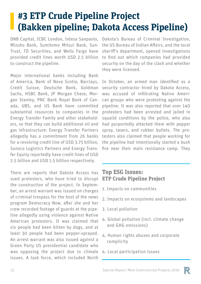### **#3 ETP Crude Pipeline Project (Bakken pipeline; Dakota Access Pipeline)**

DNB Capital, ICBC London, Intesa Sanpaolo, Mizuho Bank, Sumitomo Mitsui Bank, Sun-Trust, TD Securities, and Wells Fargo have provided credit lines worth USD 2.5 billion to construct the pipeline.

Major international banks including Bank of America, Bank of Nova Scotia, Barclays, Credit Suisse, Deutsche Bank, Goldman Sachs, HSBC Bank, JP Morgan Chase, Morgan Stanley, PNC Bank Royal Bank of Canada, UBS, and US Bank have committed substantial resources to companies in the Energy Transfer Family and other stakeholders, so that they can build additional oil and gas infrastructure: Energy Transfer Partners allegedly has a commitment from 26 banks for a [revolving credit line of USD](http://governance.energytransfer.com/phoenix.zhtml?c=106094&p=irol-SECText&TEXT=aHR0cDovL2FwaS50ZW5rd2l6YXJkLmNvbS9maWxpbmcueG1sP2lwYWdlPTEwMDgwNDgzJkRTRVE9MCZTRVE9MCZTUURFU0M9U0VDVElPTl9FTlRJUkUmc3Vic2lkPTU3) 3.75 billion, Sunoco Logistics Partners and Energy Transfer Equity reportedly have credit lines of USD 2.5 billion and USD 1.5 billion respectively.

There are reports that Dakota Access has sued protesters, who have tried to disrupt the construction of the project. In September, an arrest warrant was issued on charges of criminal trespass for the host of the news program Democracy Now, after she and her crew recorded footage of guards at the pipeline allegedly using violence against Native American protesters. It was claimed that six people had been bitten by dogs, and at least 30 people had been pepper-sprayed. An arrest warrant was also issued against a Green Party US presidential candidate who was opposing the project due to climate issues. A task force, which included North

Dakota's Bureau of Criminal Investigation, the US Bureau of Indian Affairs, and the local sheriff's department, opened investigations to find out which companies had provided security on the day of the clash and whether they were licensed.

In October, an armed man identified as a security contractor hired by Dakota Access, was accused of infiltrating Native American groups who were protesting against the pipeline. It was also reported that over 140 protesters had been arrested and jailed in squalid conditions by the police, who also had purportedly attacked them with pepper spray, tasers, and rubber bullets. The protesters also claimed that people working for the pipeline had intentionally started a bush fire near their main resistance camp. They

#### **Top ESG Issues: ETP Crude Pipeline Project**

- 1. Impacts on communities
- 2. Impacts on ecosystems and landscapes
- 3. Local pollution
- 4. Global pollution (incl. climate change and GHG emissions)
- 4. Human rights abuses and corporate complicity
- 4. Local participation issues

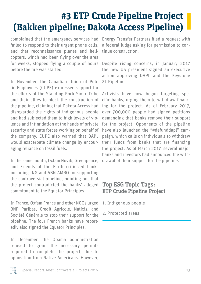### **#3 ETP Crude Pipeline Project (Bakken pipeline; Dakota Access Pipeline)**

failed to respond to their urgent phone calls, and that reconnaissance planes and helicopters, which had been flying over the area for weeks, stopped flying a couple of hours before the fire was started.

In November, the Canadian Union of Public Employees (CUPE) expressed support for the efforts of the Standing Rock Sioux Tribe and their allies to block the construction of the pipeline, claiming that Dakota Access had disregarded the rights of indigenous people and had subjected them to high levels of violence and intimidation at the hands of private security and state forces working on behalf of the company. CUPE also warned that DAPL would exacerbate climate change by encouraging reliance on fossil fuels.

In the same month, Oxfam Novib, Greenpeace, and Friends of the Earth criticized banks including ING and ABN AMRO for supporting the controversial pipeline, pointing out that the project contradicted the banks' alleged commitment to the Equator Principles.

In France, Oxfam France and other NGOs urged BNP Paribas, Credit Agricole, Natixis, and Société Générale to stop their support for the pipeline. The four French banks have reportedly also signed the Equator Principles.

In December, the Obama administration refused to grant the necessary permits required to complete the project, due to opposition from Native Americans. However,

complained that the emergency services had Energy Transfer Partners filed a request with a federal judge asking for permission to continue construction.

> Despite rising concerns, in January 2017 the new US president signed an executive action approving DAPL and the Keystone XL Pipeline.

> Activists have now begun targeting specific banks, urging them to withdraw financing for the project. As of February 2017, over 700,000 people had signed petitions demanding that banks remove their support for the project. Opponents of the pipeline have also launched the "#defunddapl" campaign, which calls on individuals to withdraw their funds from banks that are financing the project. As of March 2017, several major banks and investors had announced the withdrawal of their support for the pipeline.

#### **Top ESG Topic Tags: ETP Crude Pipeline Project**

1. Indigenous people

2. Protected areas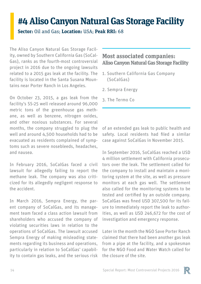### **#4 Aliso Canyon Natural Gas Storage Facility**

**Sector:** Oil and Gas; **Location:** USA; **Peak RRI:** 68

The Aliso Canyon Natural Gas Storage Facility, owned by Southern California Gas (SoCal-Gas), ranks as the fourth-most controversial project in 2016 due to the ongoing lawsuits related to a 2015 gas leak at the facility. The facility is located in the Santa Susana Mountains near Porter Ranch in Los Angeles.

On October 23, 2015, a gas leak from the facility's SS-25 well released around 96,000 metric tons of the greenhouse gas methane, as well as benzene, nitrogen oxides, and other noxious substances. For several months, the company struggled to plug the well and around 4,500 households had to be evacuated as residents complained of symptoms such as severe nosebleeds, headaches, and nausea.

In February 2016, SoCalGas faced a civil lawsuit for allegedly failing to report the methane leak. The company was also criticized for its allegedly negligent response to the accident.

In March 2016, Sempra Energy, the parent company of SoCalGas, and its management team faced a class action lawsuit from shareholders who accused the company of violating securities laws in relation to the operations of SoCalGas. The lawsuit accused Sempra Energy of making misleading statements regarding its business and operations, particularly in relation to SoCalGas' capability to contain gas leaks, and the serious risk

#### **Most associated companies: Aliso Canyon Natural Gas Storage Facility**

- 1. Southern California Gas Company (SoCalGas)
- 2. Sempra Energy
- 3. The Termo Co

of an extended gas leak to public health and safety. Local residents had filed a similar case against SoCalGas in November 2015.

In September 2016, SoCalGas reached a USD 4 million settlement with California prosecutors over the leak. The settlement called for the company to install and maintain a monitoring system at the site, as well as pressure monitors at each gas well. The settlement also called for the monitoring systems to be tested and certified by an outside company. SoCalGas was fined USD 307,500 for its failure to immediately report the leak to authorities, as well as USD 246,672 for the cost of investigation and emergency response.

Later in the month the NGO Save Porter Ranch claimed that there had been another gas leak from a pipe at the facility, and a spokesman for the NGO Food and Water Watch called for the closure of the site.

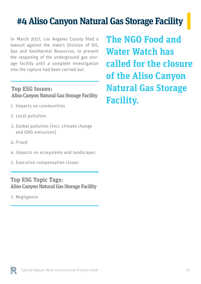### **#4 Aliso Canyon Natural Gas Storage Facility**

In March 2017, Los Angeles County filed a lawsuit against the state's Division of Oil, Gas and Geothermal Resources, to prevent the reopening of the underground gas storage facility until a complete investigation into the rupture had been carried out.

#### **Top ESG Issues: Aliso Canyon Natural Gas Storage Facility**

- 1. Impacts on communities
- 2. Local pollution
- 3. Global pollution (incl. climate change and GHG emissions)
- 4. Fraud
- 4. Impacts on ecosystems and landscapes
- 5. Executive compensation issues

#### **Top ESG Topic Tags: Aliso Canyon Natural Gas Storage Facility**

1. Negligence

**The NGO Food and Water Watch has called for the closure of the Aliso Canyon Natural Gas Storage Facility.**

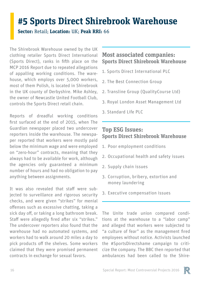### **#5 Sports Direct Shirebrook Warehouse**

**Sector:** Retail; **Location:** UK; **Peak RRI:** 66

The Shirebrook Warehouse owned by the UK clothing retailer Sports Direct International (Sports Direct), ranks in fifth place on the MCP 2016 Report due to repeated allegations of appalling working conditions. The warehouse, which employs over 5,000 workers, most of them Polish, is located in Shirebrook in the UK county of Derbyshire. Mike Ashley, the owner of Newcastle United Football Club, controls the Sports Direct retail chain.

Reports of dreadful working conditions first surfaced at the end of 2015, when The Guardian newspaper placed two undercover reporters inside the warehouse. The newspaper reported that workers were mostly paid below the minimum wage and were employed on "zero-hour" contracts, meaning that they always had to be available for work, although the agencies only guaranteed a minimum number of hours and had no obligation to pay anything between assignments.

It was also revealed that staff were subjected to surveillance and rigorous security checks, and were given "strikes" for menial offenses such as excessive chatting, taking a sick day off, or taking a long bathroom break. Staff were allegedly fired after six "strikes." The undercover reporters also found that the warehouse had no automated systems, and workers had to walk around 20 miles a day to pick products off the shelves. Some workers claimed that they were promised permanent contracts in exchange for sexual favors.

#### **Most associated companies: Sports Direct Shirebrook Warehouse**

- 1. Sports Direct International PLC
- 2. The Best Connection Group
- 2. Transline Group (QualityCourse Ltd)
- 3. Royal London Asset Management Ltd
- 3. Standard Life PLC

#### **Top ESG Issues: Sports Direct Shirebrook Warehouse**

- 1. Poor employment conditions
- 2. Occupational health and safety issues
- 2. Supply chain issues
- 3. Corruption, bribery, extortion and money laundering
- 3. Executive compensation issues

The Unite trade union compared conditions at the warehouse to a "labor camp" and alleged that workers were subjected to "a culture of fear" as the management fired employees without notice. Activists launched the #SportsDirectshame campaign to criticize the company. The BBC then reported that ambulances had been called to the Shire-

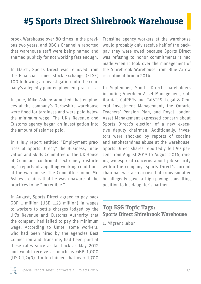### **#5 Sports Direct Shirebrook Warehouse**

brook Warehouse over 80 times in the previous two years, and BBC's Channel 4 reported that warehouse staff were being named and shamed publicly for not working fast enough.

In March, Sports Direct was removed from the Financial Times Stock Exchange (FTSE) 100 following an investigation into the company's allegedly poor employment practices.

In June, Mike Ashley admitted that employees at the company's Derbyshire warehouse were fined for tardiness and were paid below the minimum wage. The UK's Revenue and Customs agency began an investigation into the amount of salaries paid.

In a July report entitled "Employment practices at Sports Direct," the Business, Innovation and Skills Committee of the UK House of Commons confirmed "extremely disturbing" reports of appalling working conditions at the warehouse. The Committee found Mr. Ashley's claims that he was unaware of the practices to be "incredible."

In August, Sports Direct agreed to pay back GBP 1 million (USD 1.23 million) in wages to workers to settle charges lodged by the UK's Revenue and Customs Authority that the company had failed to pay the minimum wage. According to Unite, some workers, who had been hired by the agencies Best Connection and Transline, had been paid at these rates since as far back as May 2012 and would receive as much as GBP 1,000 (USD 1,240). Unite claimed that over 1,700

Transline agency workers at the warehouse would probably only receive half of the backpay they were owed because Sports Direct was refusing to honor commitments it had made when it took over the management of the Shirebrook Warehouse from Blue Arrow recruitment firm in 2014.

In September, Sports Direct shareholders including Aberdeen Asset Management, California's CalPERs and CalSTRS, Legal & General Investment Management, the Ontario Teachers' Pension Plan, and Royal London Asset Management expressed concern about Sports Direct's election of a new executive deputy chairman. Additionally, investors were shocked by reports of cocaine and amphetamines abuse at the warehouse. Sports Direct shares reportedly fell 59 percent from August 2015 to August 2016, raising widespread concerns about job security within the company. Sports Direct's current chairman was also accused of cronyism after he allegedly gave a high-paying consulting position to his daughter's partner.

#### **Top ESG Topic Tags: Sports Direct Shirebrook Warehouse**

1. Migrant labor

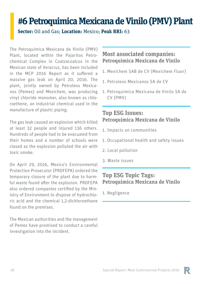### **#6 Petroquimica Mexicana de Vinilo (PMV) Plant**

**Sector:** Oil and Gas; **Location:** Mexico; **Peak RRI:** 63

The Petroquimica Mexicana de Vinilo (PMV) Plant, located within the Pajaritos Petrochemical Complex in Coatzacoalcos in the Mexican state of Veracruz, has been included in the MCP 2016 Report as it suffered a massive gas leak on April 20, 2016. The plant, jointly owned by Petroleos Mexicanos (Pemex) and Mexichem, was producing vinyl chloride monomer, also known as chloroethene, an industrial chemical used in the manufacture of plastic piping.

The gas leak caused an explosion which killed at least 32 people and injured 136 others. Hundreds of people had to be evacuated from their homes and a number of schools were closed as the explosion polluted the air with toxic smoke.

On April 29, 2016, Mexico's Environmental Protection Prosecutor (PROFEPA) ordered the temporary closure of the plant due to harmful waste found after the explosion. PROFEPA also ordered companies certified by the Ministry of Environment to dispose of hydrochloric acid and the chemical 1,2-dichloroethane found on the premises.

The Mexican authorities and the management of Pemex have promised to conduct a careful investigation into the incident.

#### **Most associated companies: Petroquimica Mexicana de Vinilo**

- 1. Mexichem SAB de CV (Mexichem Fluor)
- 1. Petroleos Mexicanos SA de CV
- 1. Petroquimica Mexicana de Vinilo SA de CV (PMV)

#### **Top ESG Issues: Petroquimica Mexicana de Vinilo**

- 1. Impacts on communities
- 1. Occupational health and safety issues
- 2. Local pollution
- 3. Waste issues

#### **Top ESG Topic Tags: Petroquimica Mexicana de Vinilo**

1. Negligence

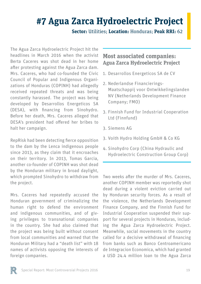### **#7 Agua Zarca Hydroelectric Project**

**Sector:** Utilities; **Location:** Honduras; **Peak RRI:** 62

The Agua Zarca Hydroelectric Project hit the headlines in March 2016 when the activist Berta Caceres was shot dead in her home after protesting against the Agua Zarca dam. Mrs. Caceres, who had co-founded the Civic Council of Popular and Indigenous Organizations of Honduras (COPINH) had allegedly received repeated threats and was being constantly harassed. The project was being developed by Desarrollos Energeticos SA (DESA), with financing from Sinohydro. Before her death, Mrs. Caceres alleged that DESA's president had offered her bribes to halt her campaign.

RepRisk had been detecting fierce opposition to the dam by the Lenca indigenous people since 2013, as they claim that it encroaches on their territory. In 2013, Tomas Garcia, another co-founder of COPINH was shot dead by the Honduran military in broad daylight, which prompted Sinohydro to withdraw from the project.

Mrs. Caceres had repeatedly accused the Honduran government of criminalizing the human right to defend the environment and indigenous communities, and of giving privileges to transnational companies in the country. She had also claimed that the project was being built without consent from local communities and warned that the Honduran Military had a "death list" with 18 names of activists opposing the interests of foreign companies.

#### **Most associated companies: Agua Zarca Hydroelectric Project**

- 1. Desarrollos Energeticos SA de CV
- 2. Nederlandse Financierings-Maatschappij voor Ontwikkelingslanden NV (Netherlands Development Finance Company; FMO)
- 3. Finnish Fund for Industrial Cooperation Ltd (Finnfund)
- Siemens AG 3.
- 3. Voith Hydro Holding GmbH & Co KG
- 4. Sinohydro Corp (China Hydraulic and Hydroelectric Construction Group Corp)

Two weeks after the murder of Mrs. Caceres, another COPINH member was reportedly shot dead during a violent eviction carried out by Honduran security forces. As a result of the violence, the Netherlands Development Finance Company, and the Finnish Fund for Industrial Cooperation suspended their support for several projects in Honduras, including the Agua Zarca Hydroelectric Project. Meanwhile, social movements in the country called for a decisive withdrawal of financing from banks such as Banco Centroamericano de Integracion Economica, which had granted a USD 24.4 million loan to the Agua Zarca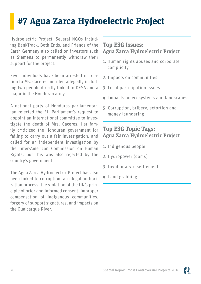### **#7 Agua Zarca Hydroelectric Project**

Hydroelectric Project. Several NGOs including BankTrack, Both Ends, and Friends of the Earth Germany also called on investors such as Siemens to permanently withdraw their support for the project.

Five individuals have been arrested in relation to Ms. Caceres' murder, allegedly including two people directly linked to DESA and a major in the Honduran army.

A national party of Honduras parliamentarian rejected the EU Parliament's request to appoint an international committee to investigate the death of Mrs. Caceres. Her family criticized the Honduran government for failing to carry out a fair investigation, and called for an independent investigation by the Inter-American Commission on Human Rights, but this was also rejected by the country's government.

The Agua Zarca Hydroelectric Project has also been linked to corruption, an illegal authorization process, the violation of the UN's principle of prior and informed consent, improper compensation of indigenous communities, forgery of support signatures, and impacts on the Gualcarque River.

#### **Top ESG Issues: Agua Zarca Hydroelectric Project**

- 1. Human rights abuses and corporate complicity
- 2. Impacts on communities
- 3. Local participation issues
- 4. Impacts on ecosystems and landscapes
- 5. Corruption, bribery, extortion and money laundering

#### **Top ESG Topic Tags: Agua Zarca Hydroelectric Project**

- 1. Indigenous people
- 2. Hydropower (dams)
- 3. Involuntary resettlement
- 4. Land grabbing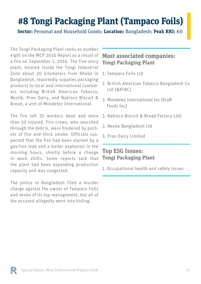### **#8 Tongi Packaging Plant (Tampaco Foils)**

**Sector:** Personal and Household Goods; **Location:** Bangladesh; **Peak RRI:** 60

The Tongi Packaging Plant ranks as number eight on the MCP 2016 Report as a result of a fire on September 1, 2016. The five-story plant, located inside the Tongi Industrial Zone about 20 kilometers from Dhaka in Bangladesh, reportedly supplies packaging products to local and international customers including British American Tobacco, Nestlé, Pran Dairy, and Nabisco Biscuit & Bread, a unit of Mondelez International.

The fire left 35 workers dead and more than 50 injured. Fire crews, who searched through the debris, were hindered by pockets of fire and thick smoke. Officials suspected that the fire had been started by a gas-line leak and a boiler explosion in the morning hours, shortly before a change in work shifts. Some reports said that the plant had been expanding production capacity and was congested.

The police in Bangladesh filed a murder charge against the owner of Tampaco Foils and seven of its top management, but all of the accused allegedly went into hiding.

#### **Most associated companies: Tongi Packaging Plant**

- 1. Tampaco Foils Ltd
- 2. British American Tobacco Bangladesh Co Ltd (BATBC)
- 3. Mondelez International Inc (Kraft Foods Inc)
- 3. Nabisco Biscuit & Bread Factory Ltd)
- 3. Nestle Bangladesh Ltd
- 3. Pran Dairy Limited

#### **Top ESG Issues: Tongi Packaging Plant**

1. Occupational health and safety issues

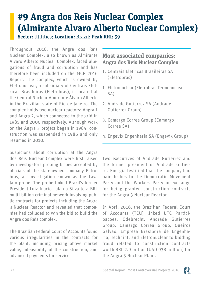## **#9 Angra dos Reis Nuclear Complex (Almirante Alvaro Alberto Nuclear Complex)**

**Sector:** Utilities; **Location:** Brazil; **Peak RRI:** 59

Throughout 2016, the Angra dos Reis Nuclear Complex, also known as Almirante Alvaro Alberto Nuclear Complex, faced allegations of fraud and corruption and has therefore been included on the MCP 2016 Report. The complex, which is owned by Eletronuclear, a subsidiary of Centrais Eletricas Brasileiras (Eletrobras), is located at the Central Nuclear Almirante Álvaro Alberto in the Brazilian state of Rio de Janeiro. The complex holds two nuclear reactors: Angra 1 and Angra 2, which connected to the grid in 1985 and 2000 respectively. Although work on the Angra 3 project began in 1984, construction was suspended in 1986 and only resumed in 2010.

Suspicions about corruption at the Angra dos Reis Nuclear Complex were first raised by investigators probing bribes accepted by officials of the state-owned company Petrobras, an investigation known as the Lava Jato probe. The probe linked Brazil's former President Luiz Inacio Lula da Silva to a BRL multi-billion criminal network involving public contracts for projects including the Angra 3 Nuclear Reactor and revealed that companies had colluded to win the bid to build the Angra dos Reis complex.

The Brazilian Federal Court of Accounts found various irregularities in the contracts for the plant, including pricing above market value, infeasibility of the construction, and advanced payments for services.

#### **Most associated companies: Angra dos Reis Nuclear Complex**

- Centrais Eletricas Brasileiras SA 1. (Eletrobras)
- 1. Eletronuclear (Eletrobras Termonuclear SA)
- 2. Andrade Gutierrez SA (Andrade Gutierrez Group)
- 3. Camargo Correa Group (Camargo Correa SA)
- Engevix Engenharia SA (Engevix Group) 4.

Two executives of Andrade Gutierrez and the former president of Andrade Gutierrez Energia testified that the company had paid bribes to the Democratic Movement Party and the Workers Party in exchange for being granted construction contracts for the Angra 3 Nuclear Reactor.

In April 2016, the Brazilian Federal Court of Accounts (TCU) linked UTC Participacoes, Odebrecht, Andrade Gutierrez Group, Camargo Correa Group, Queiroz Galvao, Empresa Brasileira de Engenharia, Technint, and Eletronuclear to bidding fraud related to construction contracts worth BRL 2.9 billion (USD 938 million) for the Angra 3 Nuclear Plant.

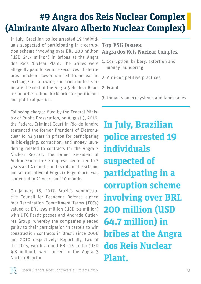### **#9 Angra dos Reis Nuclear Complex (Almirante Alvaro Alberto Nuclear Complex)**

In July, Brazilian police arrested 19 individuals suspected of participating in a corruption scheme involving over BRL 200 million (USD 64.7 million) in bribes at the Angra dos Reis Nuclear Plant. The bribes were allegedly paid to senior executives of Eletrobras' nuclear power unit Eletronuclear in exchange for allowing construction firms to inflate the cost of the Angra 3 Nuclear Reactor in order to fund kickbacks for politicians and political parties.

Following charges filed by the Federal Ministry of Public Prosecution, on August 3, 2016, the Federal Criminal Court in Rio de Janeiro sentenced the former President of Eletronuclear to 43 years in prison for participating in bid-rigging, corruption, and money laundering related to contracts for the Angra 3 Nuclear Reactor. The former President of Andrade Gutierrez Group was sentenced to 7 years and 4 months for his role in the scheme and an executive of Engevix Engenharia was sentenced to 21 years and 10 months.

On January 18, 2017, Brazil's Administrative Council for Economic Defense signed four Termination Commitment Terms (TCCs) valued at BRL 195 million (USD 63 million) with UTC Participacoes and Andrade Gutierrez Group, whereby the companies pleaded guilty to their participation in cartels to win construction contracts in Brazil since 2008 and 2010 respectively. Reportedly, two of the TCCs, worth around BRL 15 millio (USD 4.8 million), were linked to the Angra 3 Nuclear Reactor.

#### **Top ESG Issues: Angra dos Reis Nuclear Complex**

- 1. Corruption, bribery, extortion and money laundering
- 2. Anti-competitive practices
- 2. Fraud
- 3. Impacts on ecosystems and landscapes

**In July, Brazilian police arrested 19 individuals suspected of participating in a corruption scheme involving over BRL 200 million (USD 64.7 million) in bribes at the Angra dos Reis Nuclear Plant.**

偎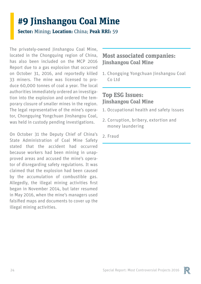### **#9 Jinshangou Coal Mine**

**Sector:** Mining; **Location:** China; **Peak RRI:** 59

The privately-owned Jinshangou Coal Mine, located in the Chongquing region of China, has also been included on the MCP 2016 Report due to a gas explosion that occurred on October 31, 2016, and reportedly killed 33 miners. The mine was licensed to produce 60,000 tonnes of coal a year. The local authorities immediately ordered an investigation into the explosion and ordered the temporary closure of smaller mines in the region. The legal representative of the mine's operator, Chongquing Yongchuan Jinshangou Coal, was held in custody pending investigations.

On October 31 the Deputy Chief of China's State Administration of Coal Mine Safety stated that the accident had occurred because workers had been mining in unapproved areas and accused the mine's operator of disregarding safety regulations. It was claimed that the explosion had been caused by the accumulation of combustible gas. Allegedly, the illegal mining activities first began in November 2014, but later resumed in May 2016, when the mine's managers used falsified maps and documents to cover up the illegal mining activities.

#### **Most associated companies: Jinshangou Coal Mine**

1. Chongqing Yongchuan Jinshangou Coal Co Ltd

#### **Top ESG Issues: Jinshangou Coal Mine**

- 1. Occupational health and safety issues
- 2. Corruption, bribery, extortion and money laundering
- 2. Fraud

![](_page_23_Picture_10.jpeg)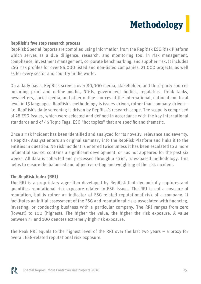### **Methodology**

#### **RepRisk**'**s five step research process**

RepRisk Special Reports are compiled using information from the RepRisk ESG Risk Platform which serves as a due diligence, research, and monitoring tool in risk management, compliance, investment management, corporate benchmarking, and supplier risk. It includes ESG risk profiles for over 84,000 listed and non-listed companies, 21,000 projects, as well as for every sector and country in the world.

On a daily basis, RepRisk screens over 80,000 media, stakeholder, and third-party sources including print and online media, NGOs, government bodies, regulators, think tanks, newsletters, social media, and other online sources at the international, national and local level in 15 languages. RepRisk's methodology is issues-driven, rather than company-driven – i.e. RepRisk's daily screening is driven by RepRisk's research scope. The scope is comprised of 28 ESG Issues, which were selected and defined in accordance with the key international standards and of 45 Topic Tags, ESG "hot topics" that are specific and thematic.

Once a risk incident has been identified and analyzed for its novelty, relevance and severity, a RepRisk Analyst enters an original summary into the RepRisk Platform and links it to the entities in question. No risk incident is entered twice unless it has been escalated to a more influential source, contains a significant development, or has not appeared for the past six weeks. All data is collected and processed through a strict, rules-based methodology. This helps to ensure the balanced and objective rating and weighting of the risk incident.

#### **The RepRisk Index (RRI)**

The RRI is a proprietary algorithm developed by RepRisk that dynamically captures and quantifies reputational risk exposure related to ESG issues. The RRI is not a measure of reputation, but is rather an indicator of ESG-related reputational risk of a company. It facilitates an initial assessment of the ESG and reputational risks associated with financing, investing, or conducting business with a particular company. The RRI ranges from zero (lowest) to 100 (highest). The higher the value, the higher the risk exposure. A value between 75 and 100 denotes extremely high risk exposure.

The Peak RRI equals to the highest level of the RRI over the last two years – a proxy for overall ESG-related reputational risk exposure.

![](_page_24_Picture_8.jpeg)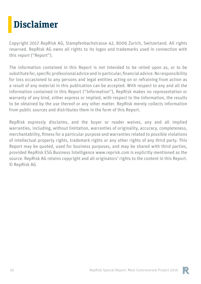# **Disclaimer**

Copyright 2017 RepRisk AG, Stampfenbachstrasse 42, 8006 Zurich, Switzerland. All rights reserved. RepRisk AG owns all rights to its logos and trademarks used in connection with this report ("Report").

The information contained in this Report is not intended to be relied upon as, or to be substitute for, specific professional advice and in particular, financial advice. No responsibility for loss occasioned to any persons and legal entities acting on or refraining from action as a result of any material in this publication can be accepted. With respect to any and all the information contained in this Report ("Information"), RepRisk makes no representation or warranty of any kind, either express or implied, with respect to the Information, the results to be obtained by the use thereof or any other matter. RepRisk merely collects information from public sources and distributes them in the form of this Report.

RepRisk expressly disclaims, and the buyer or reader waives, any and all implied warranties, including, without limitation, warranties of originality, accuracy, completeness, merchantability, fitness for a particular purpose and warranties related to possible violations of intellectual property rights, trademark rights or any other rights of any third party. This Report may be quoted, used for business purposes, and may be shared with third parties, provided RepRisk ESG Business Intelligence www.reprisk.com is explicitly mentioned as the source. RepRisk AG retains copyright and all originators' rights to the content in this Report. © RepRisk AG

![](_page_25_Picture_4.jpeg)